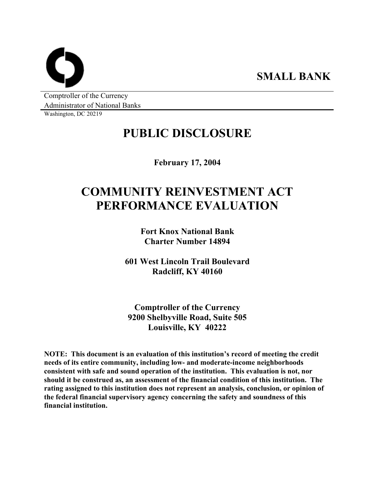**SMALL BANK** 

Comptroller of the Currency Administrator of National Banks

Washington, DC 20219

# **PUBLIC DISCLOSURE**

**February 17, 2004** 

# **COMMUNITY REINVESTMENT ACT PERFORMANCE EVALUATION**

**Fort Knox National Bank Charter Number 14894** 

**601 West Lincoln Trail Boulevard Radcliff, KY 40160** 

**Comptroller of the Currency 9200 Shelbyville Road, Suite 505 Louisville, KY 40222** 

**NOTE: This document is an evaluation of this institution's record of meeting the credit needs of its entire community, including low- and moderate-income neighborhoods consistent with safe and sound operation of the institution. This evaluation is not, nor should it be construed as, an assessment of the financial condition of this institution. The rating assigned to this institution does not represent an analysis, conclusion, or opinion of the federal financial supervisory agency concerning the safety and soundness of this financial institution.**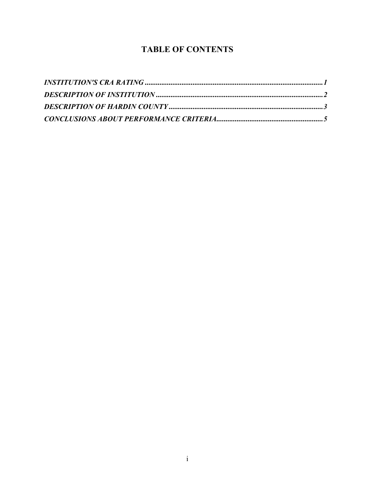### **TABLE OF CONTENTS**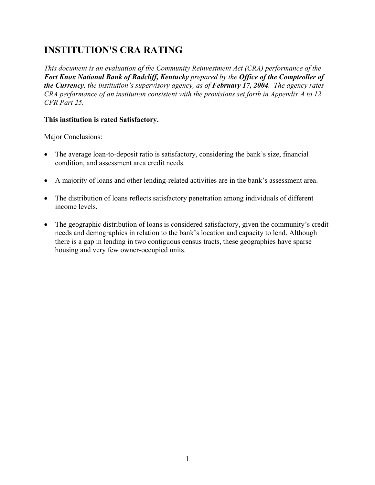# **INSTITUTION'S CRA RATING**

*This document is an evaluation of the Community Reinvestment Act (CRA) performance of the Fort Knox National Bank of Radcliff, Kentucky prepared by the Office of the Comptroller of the Currency, the institution's supervisory agency, as of February 17, 2004. The agency rates CRA performance of an institution consistent with the provisions set forth in Appendix A to 12 CFR Part 25.*

### **This institution is rated Satisfactory.**

Major Conclusions:

- The average loan-to-deposit ratio is satisfactory, considering the bank's size, financial condition, and assessment area credit needs.
- A majority of loans and other lending-related activities are in the bank's assessment area.
- The distribution of loans reflects satisfactory penetration among individuals of different income levels.
- $\bullet$ The geographic distribution of loans is considered satisfactory, given the community's credit needs and demographics in relation to the bank's location and capacity to lend. Although there is a gap in lending in two contiguous census tracts, these geographies have sparse housing and very few owner-occupied units.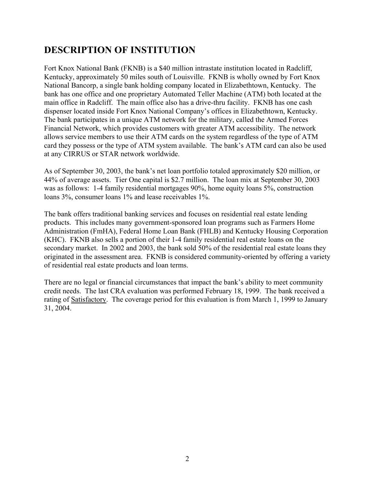### **DESCRIPTION OF INSTITUTION**

Fort Knox National Bank (FKNB) is a \$40 million intrastate institution located in Radcliff, Kentucky, approximately 50 miles south of Louisville. FKNB is wholly owned by Fort Knox National Bancorp, a single bank holding company located in Elizabethtown, Kentucky. The bank has one office and one proprietary Automated Teller Machine (ATM) both located at the main office in Radcliff. The main office also has a drive-thru facility. FKNB has one cash dispenser located inside Fort Knox National Company's offices in Elizabethtown, Kentucky. The bank participates in a unique ATM network for the military, called the Armed Forces Financial Network, which provides customers with greater ATM accessibility. The network allows service members to use their ATM cards on the system regardless of the type of ATM card they possess or the type of ATM system available. The bank's ATM card can also be used at any CIRRUS or STAR network worldwide.

As of September 30, 2003, the bank's net loan portfolio totaled approximately \$20 million, or 44% of average assets. Tier One capital is \$2.7 million. The loan mix at September 30, 2003 was as follows: 1-4 family residential mortgages 90%, home equity loans 5%, construction loans 3%, consumer loans 1% and lease receivables 1%.

The bank offers traditional banking services and focuses on residential real estate lending products. This includes many government-sponsored loan programs such as Farmers Home Administration (FmHA), Federal Home Loan Bank (FHLB) and Kentucky Housing Corporation (KHC). FKNB also sells a portion of their 1-4 family residential real estate loans on the secondary market. In 2002 and 2003, the bank sold 50% of the residential real estate loans they originated in the assessment area. FKNB is considered community-oriented by offering a variety of residential real estate products and loan terms.

There are no legal or financial circumstances that impact the bank's ability to meet community credit needs. The last CRA evaluation was performed February 18, 1999. The bank received a rating of Satisfactory. The coverage period for this evaluation is from March 1, 1999 to January 31, 2004.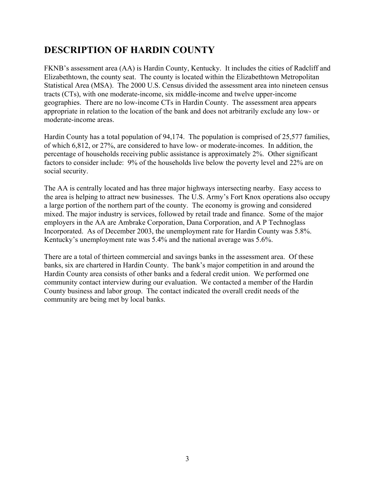## **DESCRIPTION OF HARDIN COUNTY**

FKNB's assessment area (AA) is Hardin County, Kentucky. It includes the cities of Radcliff and Elizabethtown, the county seat. The county is located within the Elizabethtown Metropolitan Statistical Area (MSA). The 2000 U.S. Census divided the assessment area into nineteen census tracts (CTs), with one moderate-income, six middle-income and twelve upper-income geographies. There are no low-income CTs in Hardin County. The assessment area appears appropriate in relation to the location of the bank and does not arbitrarily exclude any low- or moderate-income areas.

Hardin County has a total population of 94,174. The population is comprised of 25,577 families, of which 6,812, or 27%, are considered to have low- or moderate-incomes. In addition, the percentage of households receiving public assistance is approximately 2%. Other significant factors to consider include: 9% of the households live below the poverty level and 22% are on social security.

The AA is centrally located and has three major highways intersecting nearby. Easy access to the area is helping to attract new businesses. The U.S. Army's Fort Knox operations also occupy a large portion of the northern part of the county. The economy is growing and considered mixed. The major industry is services, followed by retail trade and finance. Some of the major employers in the AA are Ambrake Corporation, Dana Corporation, and A P Technoglass Incorporated. As of December 2003, the unemployment rate for Hardin County was 5.8%. Kentucky's unemployment rate was 5.4% and the national average was 5.6%.

There are a total of thirteen commercial and savings banks in the assessment area. Of these banks, six are chartered in Hardin County. The bank's major competition in and around the Hardin County area consists of other banks and a federal credit union. We performed one community contact interview during our evaluation. We contacted a member of the Hardin County business and labor group. The contact indicated the overall credit needs of the community are being met by local banks.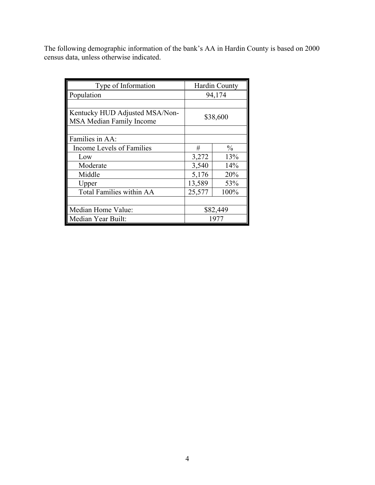The following demographic information of the bank's AA in Hardin County is based on 2000 census data, unless otherwise indicated.

| Type of Information                                               |          | <b>Hardin County</b> |  |
|-------------------------------------------------------------------|----------|----------------------|--|
| Population                                                        | 94,174   |                      |  |
|                                                                   |          |                      |  |
| Kentucky HUD Adjusted MSA/Non-<br><b>MSA Median Family Income</b> | \$38,600 |                      |  |
|                                                                   |          |                      |  |
| Families in AA:                                                   |          |                      |  |
| Income Levels of Families                                         | #        | $\%$                 |  |
| Low                                                               | 3,272    | 13%                  |  |
| Moderate                                                          | 3,540    | 14%                  |  |
| Middle                                                            | 5,176    | 20%                  |  |
| Upper                                                             | 13,589   | 53%                  |  |
| <b>Total Families within AA</b>                                   | 25,577   | 100%                 |  |
|                                                                   |          |                      |  |
| Median Home Value:                                                | \$82,449 |                      |  |
| Median Year Built:                                                | 1977     |                      |  |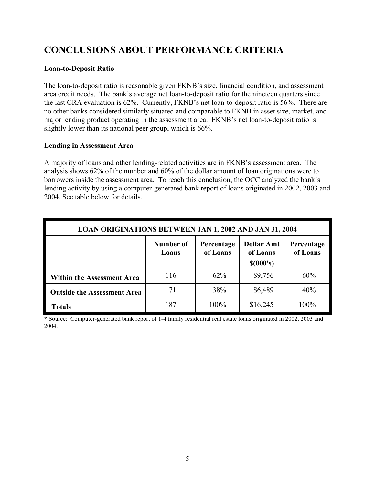# **CONCLUSIONS ABOUT PERFORMANCE CRITERIA**

#### **Loan-to-Deposit Ratio**

The loan-to-deposit ratio is reasonable given FKNB's size, financial condition, and assessment area credit needs. The bank's average net loan-to-deposit ratio for the nineteen quarters since the last CRA evaluation is 62%. Currently, FKNB's net loan-to-deposit ratio is 56%. There are no other banks considered similarly situated and comparable to FKNB in asset size, market, and major lending product operating in the assessment area. FKNB's net loan-to-deposit ratio is slightly lower than its national peer group, which is 66%.

#### **Lending in Assessment Area**

A majority of loans and other lending-related activities are in FKNB's assessment area. The analysis shows 62% of the number and 60% of the dollar amount of loan originations were to borrowers inside the assessment area. To reach this conclusion, the OCC analyzed the bank's lending activity by using a computer-generated bank report of loans originated in 2002, 2003 and 2004. See table below for details.

| <b>LOAN ORIGINATIONS BETWEEN JAN 1, 2002 AND JAN 31, 2004</b> |                    |                        |                                            |                        |  |
|---------------------------------------------------------------|--------------------|------------------------|--------------------------------------------|------------------------|--|
|                                                               | Number of<br>Loans | Percentage<br>of Loans | <b>Dollar Amt</b><br>of Loans<br>\$(000's) | Percentage<br>of Loans |  |
| <b>Within the Assessment Area</b>                             | 116                | 62%                    | \$9,756                                    | 60%                    |  |
| <b>Outside the Assessment Area</b>                            | 71                 | 38%                    | \$6,489                                    | 40%                    |  |
| <b>Totals</b>                                                 | 187                | 100%                   | \$16,245                                   | 100%                   |  |

\* Source: Computer-generated bank report of 1-4 family residential real estate loans originated in 2002, 2003 and 2004.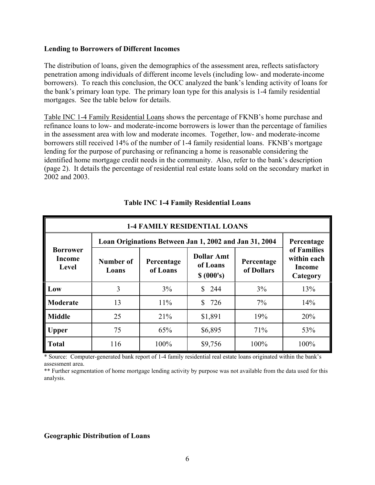#### **Lending to Borrowers of Different Incomes**

The distribution of loans, given the demographics of the assessment area, reflects satisfactory penetration among individuals of different income levels (including low- and moderate-income borrowers). To reach this conclusion, the OCC analyzed the bank's lending activity of loans for the bank's primary loan type. The primary loan type for this analysis is 1-4 family residential mortgages. See the table below for details.

Table INC 1-4 Family Residential Loans shows the percentage of FKNB's home purchase and refinance loans to low- and moderate-income borrowers is lower than the percentage of families in the assessment area with low and moderate incomes. Together, low- and moderate-income borrowers still received 14% of the number of 1-4 family residential loans. FKNB's mortgage lending for the purpose of purchasing or refinancing a home is reasonable considering the identified home mortgage credit needs in the community. Also, refer to the bank's description (page 2). It details the percentage of residential real estate loans sold on the secondary market in 2002 and 2003.

| <b>1-4 FAMILY RESIDENTIAL LOANS</b>       |                                                        |                        |                                             |                          |                                                  |
|-------------------------------------------|--------------------------------------------------------|------------------------|---------------------------------------------|--------------------------|--------------------------------------------------|
| <b>Borrower</b><br><b>Income</b><br>Level | Loan Originations Between Jan 1, 2002 and Jan 31, 2004 | Percentage             |                                             |                          |                                                  |
|                                           | Number of<br>Loans                                     | Percentage<br>of Loans | <b>Dollar Amt</b><br>of Loans<br>\$ (000's) | Percentage<br>of Dollars | of Families<br>within each<br>Income<br>Category |
| Low                                       | 3                                                      | 3%                     | \$<br>244                                   | 3%                       | 13%                                              |
| Moderate                                  | 13                                                     | 11%                    | \$<br>726                                   | $7\%$                    | 14%                                              |
| <b>Middle</b>                             | 25                                                     | 21%                    | \$1,891                                     | 19%                      | 20%                                              |
| <b>Upper</b>                              | 75                                                     | 65%                    | \$6,895                                     | 71%                      | 53%                                              |
| <b>Total</b>                              | 116                                                    | 100%                   | \$9,756                                     | 100%                     | 100%                                             |

#### **Table INC 1-4 Family Residential Loans**

\* Source: Computer-generated bank report of 1-4 family residential real estate loans originated within the bank's assessment area.

\*\* Further segmentation of home mortgage lending activity by purpose was not available from the data used for this analysis.

#### **Geographic Distribution of Loans**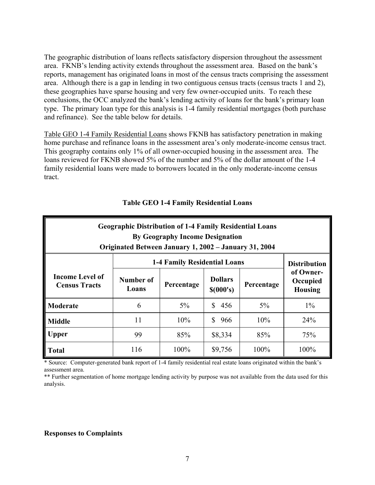The geographic distribution of loans reflects satisfactory dispersion throughout the assessment area. FKNB's lending activity extends throughout the assessment area. Based on the bank's reports, management has originated loans in most of the census tracts comprising the assessment area. Although there is a gap in lending in two contiguous census tracts (census tracts 1 and 2), these geographies have sparse housing and very few owner-occupied units. To reach these conclusions, the OCC analyzed the bank's lending activity of loans for the bank's primary loan type. The primary loan type for this analysis is 1-4 family residential mortgages (both purchase and refinance). See the table below for details.

Table GEO 1-4 Family Residential Loans shows FKNB has satisfactory penetration in making home purchase and refinance loans in the assessment area's only moderate-income census tract. This geography contains only 1% of all owner-occupied housing in the assessment area. The loans reviewed for FKNB showed 5% of the number and 5% of the dollar amount of the 1-4 family residential loans were made to borrowers located in the only moderate-income census tract.

| <b>Geographic Distribution of 1-4 Family Residential Loans</b><br><b>By Geography Income Designation</b><br>Originated Between January 1, 2002 – January 31, 2004 |                    |            |                             |            |                                         |
|-------------------------------------------------------------------------------------------------------------------------------------------------------------------|--------------------|------------|-----------------------------|------------|-----------------------------------------|
| <b>1-4 Family Residential Loans</b>                                                                                                                               |                    |            |                             |            | <b>Distribution</b>                     |
| <b>Income Level of</b><br><b>Census Tracts</b>                                                                                                                    | Number of<br>Loans | Percentage | <b>Dollars</b><br>\$(000's) | Percentage | of Owner-<br>Occupied<br><b>Housing</b> |
| Moderate                                                                                                                                                          | 6                  | $5\%$      | $\mathcal{S}$<br>456        | 5%         | $1\%$                                   |
| <b>Middle</b>                                                                                                                                                     | 11                 | 10%        | \$.<br>966                  | 10%        | 24%                                     |
| <b>Upper</b>                                                                                                                                                      | 99                 | 85%        | \$8,334                     | 85%        | 75%                                     |
| <b>Total</b>                                                                                                                                                      | 116                | 100%       | \$9,756                     | 100%       | 100%                                    |

### **Table GEO 1-4 Family Residential Loans**

\* Source: Computer-generated bank report of 1-4 family residential real estate loans originated within the bank's assessment area.

\*\* Further segmentation of home mortgage lending activity by purpose was not available from the data used for this analysis.

#### **Responses to Complaints**